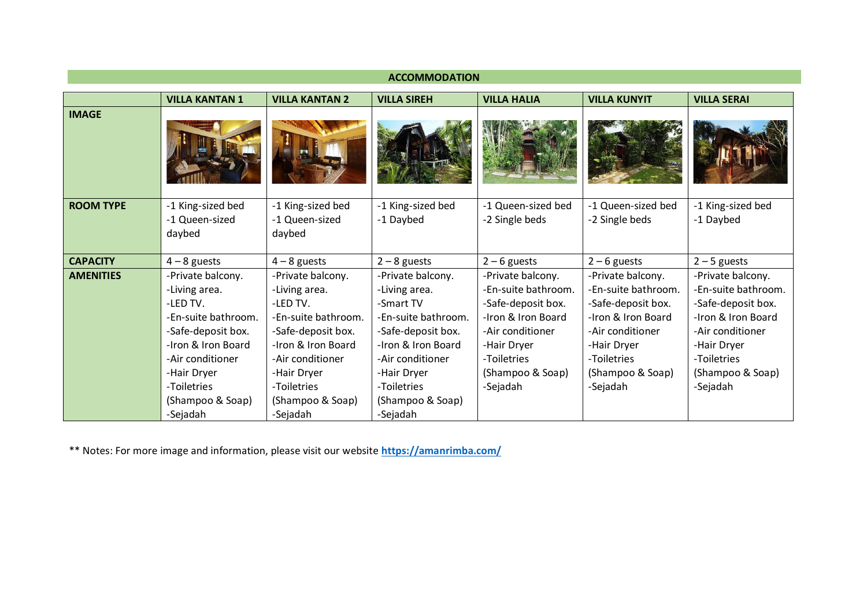| <b>ACCOMMODATION</b> |                       |                       |                     |                     |                     |                     |
|----------------------|-----------------------|-----------------------|---------------------|---------------------|---------------------|---------------------|
|                      | <b>VILLA KANTAN 1</b> | <b>VILLA KANTAN 2</b> | <b>VILLA SIREH</b>  | <b>VILLA HALIA</b>  | <b>VILLA KUNYIT</b> | <b>VILLA SERAI</b>  |
| <b>IMAGE</b>         |                       |                       |                     |                     |                     |                     |
|                      |                       |                       |                     |                     |                     |                     |
| <b>ROOM TYPE</b>     | -1 King-sized bed     | -1 King-sized bed     | -1 King-sized bed   | -1 Queen-sized bed  | -1 Queen-sized bed  | -1 King-sized bed   |
|                      | -1 Queen-sized        | -1 Queen-sized        | -1 Daybed           | -2 Single beds      | -2 Single beds      | -1 Daybed           |
|                      | daybed                | daybed                |                     |                     |                     |                     |
| <b>CAPACITY</b>      | $4 - 8$ guests        | $4 - 8$ guests        | $2 - 8$ guests      | $2 - 6$ guests      | $2 - 6$ guests      | $2 - 5$ guests      |
| <b>AMENITIES</b>     | -Private balcony.     | -Private balcony.     | -Private balcony.   | -Private balcony.   | -Private balcony.   | -Private balcony.   |
|                      | -Living area.         | -Living area.         | -Living area.       | -En-suite bathroom. | -En-suite bathroom. | -En-suite bathroom. |
|                      | -LED TV.              | -LED TV.              | -Smart TV           | -Safe-deposit box.  | -Safe-deposit box.  | -Safe-deposit box.  |
|                      | -En-suite bathroom.   | -En-suite bathroom.   | -En-suite bathroom. | -Iron & Iron Board  | -Iron & Iron Board  | -Iron & Iron Board  |
|                      | -Safe-deposit box.    | -Safe-deposit box.    | -Safe-deposit box.  | -Air conditioner    | -Air conditioner    | -Air conditioner    |
|                      | -Iron & Iron Board    | -Iron & Iron Board    | -Iron & Iron Board  | -Hair Dryer         | -Hair Dryer         | -Hair Dryer         |
|                      | -Air conditioner      | -Air conditioner      | -Air conditioner    | -Toiletries         | -Toiletries         | -Toiletries         |
|                      | -Hair Dryer           | -Hair Dryer           | -Hair Dryer         | (Shampoo & Soap)    | (Shampoo & Soap)    | (Shampoo & Soap)    |
|                      | -Toiletries           | -Toiletries           | -Toiletries         | -Sejadah            | -Sejadah            | -Sejadah            |
|                      | (Shampoo & Soap)      | (Shampoo & Soap)      | (Shampoo & Soap)    |                     |                     |                     |
|                      | -Sejadah              | -Sejadah              | -Sejadah            |                     |                     |                     |

\*\* Notes: For more image and information, please visit our website **<https://amanrimba.com/>**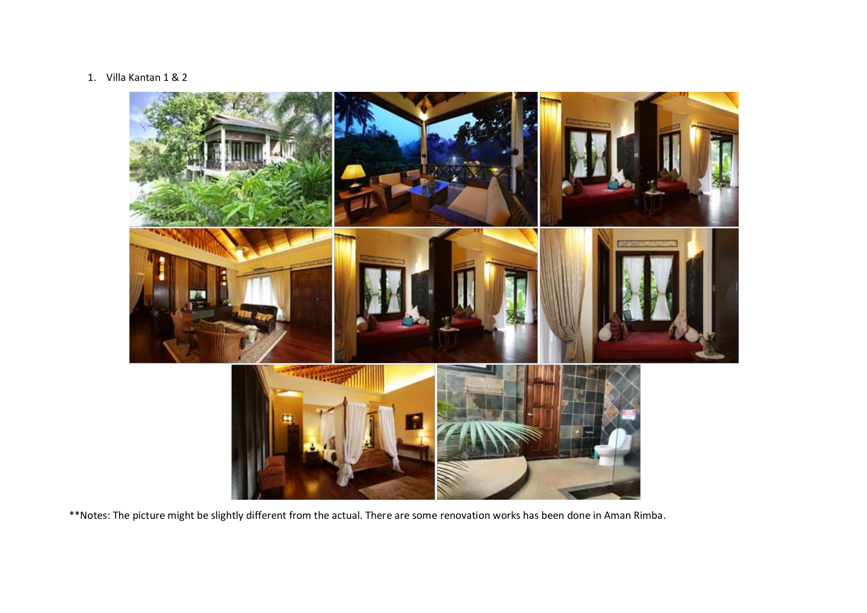## 1. Villa Kantan 1 & 2

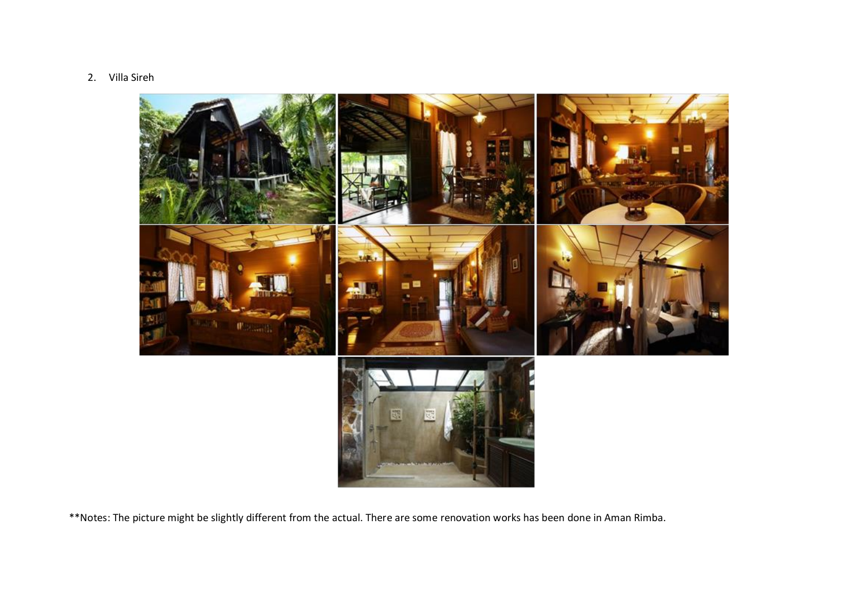2. Villa Sireh

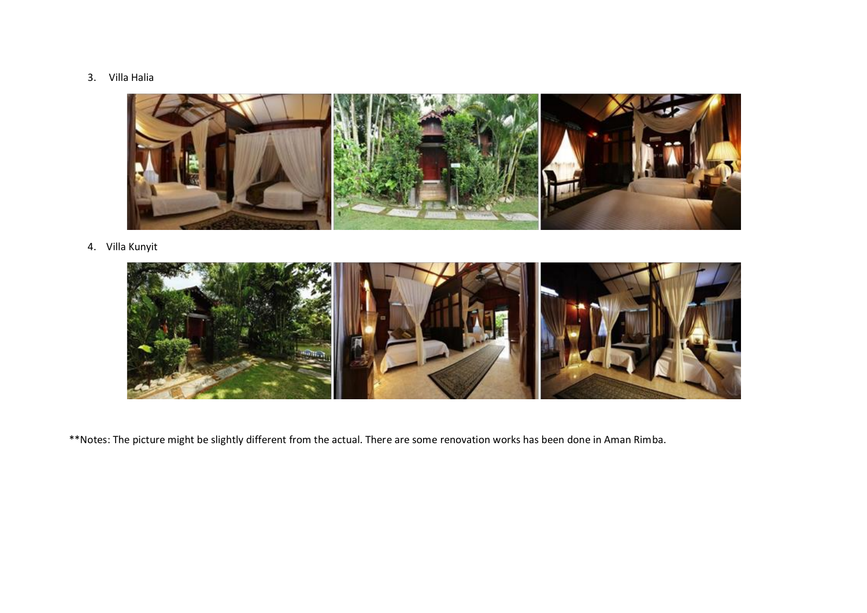## 3. Villa Halia



## 4. Villa Kunyit